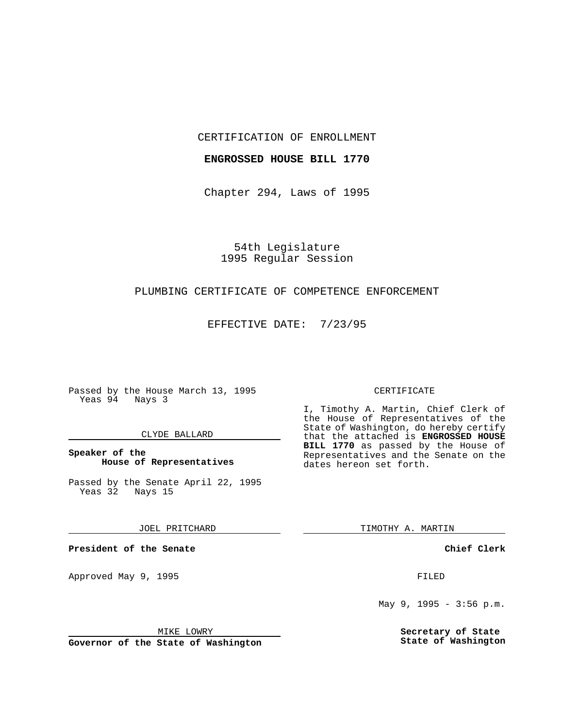CERTIFICATION OF ENROLLMENT

# **ENGROSSED HOUSE BILL 1770**

Chapter 294, Laws of 1995

54th Legislature 1995 Regular Session

# PLUMBING CERTIFICATE OF COMPETENCE ENFORCEMENT

EFFECTIVE DATE: 7/23/95

Passed by the House March 13, 1995 Yeas 94 Nays 3

### CLYDE BALLARD

**Speaker of the House of Representatives**

Passed by the Senate April 22, 1995 Yeas 32 Nays 15

JOEL PRITCHARD

**President of the Senate**

Approved May 9, 1995 **FILED** 

MIKE LOWRY

**Governor of the State of Washington**

#### CERTIFICATE

I, Timothy A. Martin, Chief Clerk of the House of Representatives of the State of Washington, do hereby certify that the attached is **ENGROSSED HOUSE BILL 1770** as passed by the House of Representatives and the Senate on the dates hereon set forth.

TIMOTHY A. MARTIN

**Chief Clerk**

May 9, 1995 - 3:56 p.m.

**Secretary of State State of Washington**